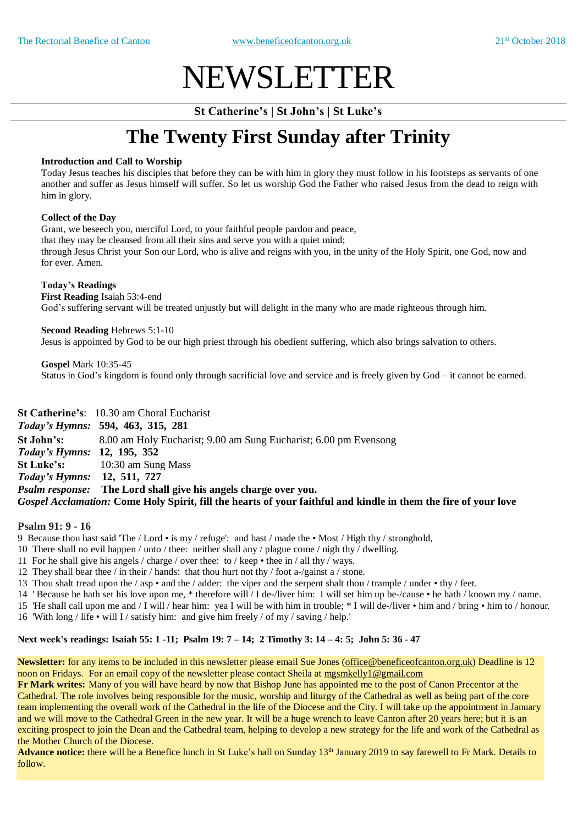# NEWSLETTER

**St Catherine's | St John's | St Luke's**

## **The Twenty First Sunday after Trinity**

#### **Introduction and Call to Worship**

Today Jesus teaches his disciples that before they can be with him in glory they must follow in his footsteps as servants of one another and suffer as Jesus himself will suffer. So let us worship God the Father who raised Jesus from the dead to reign with him in glory.

#### **Collect of the Day**

Grant, we beseech you, merciful Lord, to your faithful people pardon and peace,

that they may be cleansed from all their sins and serve you with a quiet mind;

through Jesus Christ your Son our Lord, who is alive and reigns with you, in the unity of the Holy Spirit, one God, now and for ever. Amen.

#### **Today's Readings**

**First Reading** Isaiah 53:4-end God's suffering servant will be treated unjustly but will delight in the many who are made righteous through him.

**Second Reading** Hebrews 5:1-10 Jesus is appointed by God to be our high priest through his obedient suffering, which also brings salvation to others.

**Gospel** Mark 10:35-45 Status in God's kingdom is found only through sacrificial love and service and is freely given by God – it cannot be earned.

**St Catherine's**: 10.30 am Choral Eucharist *Today's Hymns:* **594, 463, 315, 281 St John's:** 8.00 am Holy Eucharist; 9.00 am Sung Eucharist; 6.00 pm Evensong *Today's Hymns:* **12, 195, 352 St Luke's:** 10:30 am Sung Mass *Today's Hymns:* **12, 511, 727** *Psalm response:* **The Lord shall give his angels charge over you.** Gospel Acclamation: Come Holy Spirit, fill the hearts of your faithful and kindle in them the fire of your love

#### **Psalm 91: 9 - 16**

9 Because thou hast said 'The / Lord • is my / refuge': and hast / made the • Most / High thy / stronghold,

- 10 There shall no evil happen / unto / thee: neither shall any / plague come / nigh thy / dwelling.
- 11 For he shall give his angels / charge / over thee: to / keep thee in / all thy / ways.
- 12 They shall bear thee / in their / hands: that thou hurt not thy / foot a-/gainst a / stone.
- 13 Thou shalt tread upon the / asp and the / adder: the viper and the serpent shalt thou / trample / under thy / feet.
- 14 ' Because he hath set his love upon me, \* therefore will / I de-/liver him: I will set him up be-/cause he hath / known my / name.

15 'He shall call upon me and / I will / hear him: yea I will be with him in trouble; \* I will de-/liver • him and / bring • him to / honour.

16 'With long / life • will I / satisfy him: and give him freely / of my / saving / help.'

#### Next week's readings: Isaiah 55: 1 -11; Psalm 19: 7 - 14; 2 Timothy 3: 14 - 4: 5; John 5: 36 - 47

**Newsletter:** for any items to be included in this newsletter please email Sue Jones (office@beneficeofcanton.org.uk) Deadline is 12 noon on Fridays. For an email copy of the newsletter please contact Sheila at [mgsmkelly1@gmail.com](mailto:mgsmkelly1@gmail.com)

**Fr Mark writes:** Many of you will have heard by now that Bishop June has appointed me to the post of Canon Precentor at the Cathedral. The role involves being responsible for the music, worship and liturgy of the Cathedral as well as being part of the core team implementing the overall work of the Cathedral in the life of the Diocese and the City. I will take up the appointment in January and we will move to the Cathedral Green in the new year. It will be a huge wrench to leave Canton after 20 years here; but it is an exciting prospect to join the Dean and the Cathedral team, helping to develop a new strategy for the life and work of the Cathedral as the Mother Church of the Diocese.

Advance notice: there will be a Benefice lunch in St Luke's hall on Sunday 13<sup>th</sup> January 2019 to say farewell to Fr Mark. Details to follow.